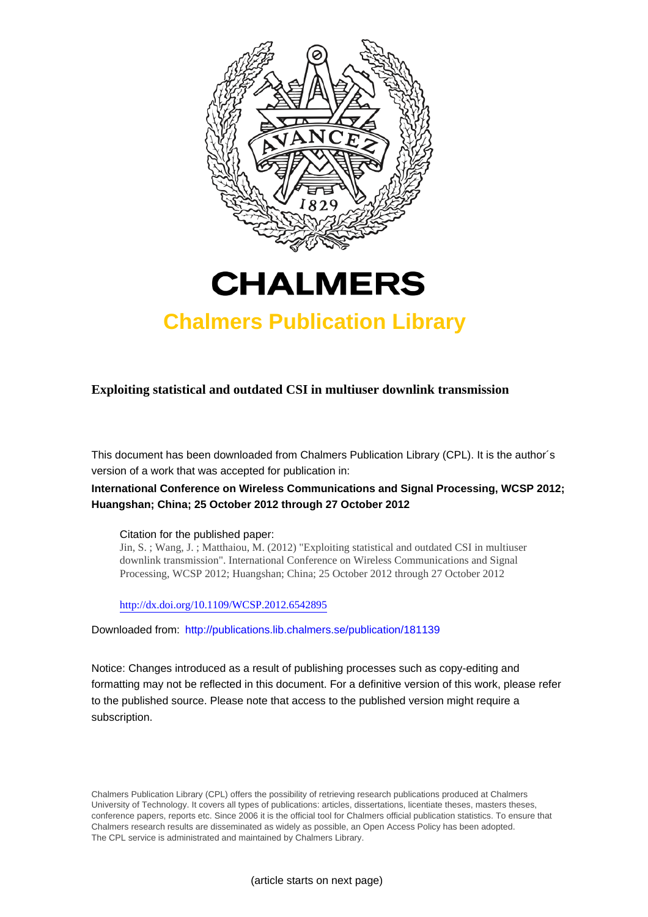



# **Chalmers Publication Library**

**Exploiting statistical and outdated CSI in multiuser downlink transmission**

This document has been downloaded from Chalmers Publication Library (CPL). It is the author´s version of a work that was accepted for publication in:

**International Conference on Wireless Communications and Signal Processing, WCSP 2012; Huangshan; China; 25 October 2012 through 27 October 2012**

Citation for the published paper:

Jin, S. ; Wang, J. ; Matthaiou, M. (2012) "Exploiting statistical and outdated CSI in multiuser downlink transmission". International Conference on Wireless Communications and Signal Processing, WCSP 2012; Huangshan; China; 25 October 2012 through 27 October 2012

<http://dx.doi.org/10.1109/WCSP.2012.6542895>

Downloaded from: <http://publications.lib.chalmers.se/publication/181139>

Notice: Changes introduced as a result of publishing processes such as copy-editing and formatting may not be reflected in this document. For a definitive version of this work, please refer to the published source. Please note that access to the published version might require a subscription.

Chalmers Publication Library (CPL) offers the possibility of retrieving research publications produced at Chalmers University of Technology. It covers all types of publications: articles, dissertations, licentiate theses, masters theses, conference papers, reports etc. Since 2006 it is the official tool for Chalmers official publication statistics. To ensure that Chalmers research results are disseminated as widely as possible, an Open Access Policy has been adopted. The CPL service is administrated and maintained by Chalmers Library.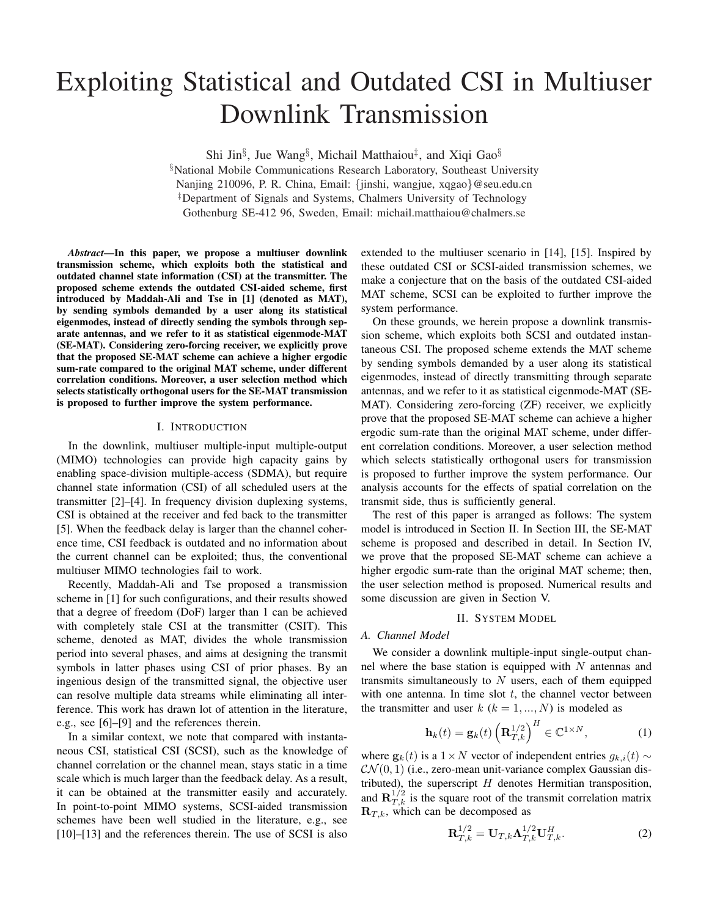# Exploiting Statistical and Outdated CSI in Multiuser Downlink Transmission

Shi Jin<sup>§</sup>, Jue Wang<sup>§</sup>, Michail Matthaiou<sup>‡</sup>, and Xiqi Gao<sup>§</sup>

§National Mobile Communications Research Laboratory, Southeast University Nanjing 210096, P. R. China, Email: {jinshi, wangjue, xqgao}@seu.edu.cn ‡Department of Signals and Systems, Chalmers University of Technology Gothenburg SE-412 96, Sweden, Email: michail.matthaiou@chalmers.se

*Abstract*—In this paper, we propose a multiuser downlink transmission scheme, which exploits both the statistical and outdated channel state information (CSI) at the transmitter. The proposed scheme extends the outdated CSI-aided scheme, first introduced by Maddah-Ali and Tse in [1] (denoted as MAT), by sending symbols demanded by a user along its statistical eigenmodes, instead of directly sending the symbols through separate antennas, and we refer to it as statistical eigenmode-MAT (SE-MAT). Considering zero-forcing receiver, we explicitly prove that the proposed SE-MAT scheme can achieve a higher ergodic sum-rate compared to the original MAT scheme, under different correlation conditions. Moreover, a user selection method which selects statistically orthogonal users for the SE-MAT transmission is proposed to further improve the system performance.

#### I. INTRODUCTION

In the downlink, multiuser multiple-input multiple-output (MIMO) technologies can provide high capacity gains by enabling space-division multiple-access (SDMA), but require channel state information (CSI) of all scheduled users at the transmitter [2]–[4]. In frequency division duplexing systems, CSI is obtained at the receiver and fed back to the transmitter [5]. When the feedback delay is larger than the channel coherence time, CSI feedback is outdated and no information about the current channel can be exploited; thus, the conventional multiuser MIMO technologies fail to work.

Recently, Maddah-Ali and Tse proposed a transmission scheme in [1] for such configurations, and their results showed that a degree of freedom (DoF) larger than 1 can be achieved with completely stale CSI at the transmitter (CSIT). This scheme, denoted as MAT, divides the whole transmission period into several phases, and aims at designing the transmit symbols in latter phases using CSI of prior phases. By an ingenious design of the transmitted signal, the objective user can resolve multiple data streams while eliminating all interference. This work has drawn lot of attention in the literature, e.g., see [6]–[9] and the references therein.

In a similar context, we note that compared with instantaneous CSI, statistical CSI (SCSI), such as the knowledge of channel correlation or the channel mean, stays static in a time scale which is much larger than the feedback delay. As a result, it can be obtained at the transmitter easily and accurately. In point-to-point MIMO systems, SCSI-aided transmission schemes have been well studied in the literature, e.g., see [10]–[13] and the references therein. The use of SCSI is also extended to the multiuser scenario in [14], [15]. Inspired by these outdated CSI or SCSI-aided transmission schemes, we make a conjecture that on the basis of the outdated CSI-aided MAT scheme, SCSI can be exploited to further improve the system performance.

On these grounds, we herein propose a downlink transmission scheme, which exploits both SCSI and outdated instantaneous CSI. The proposed scheme extends the MAT scheme by sending symbols demanded by a user along its statistical eigenmodes, instead of directly transmitting through separate antennas, and we refer to it as statistical eigenmode-MAT (SE-MAT). Considering zero-forcing (ZF) receiver, we explicitly prove that the proposed SE-MAT scheme can achieve a higher ergodic sum-rate than the original MAT scheme, under different correlation conditions. Moreover, a user selection method which selects statistically orthogonal users for transmission is proposed to further improve the system performance. Our analysis accounts for the effects of spatial correlation on the transmit side, thus is sufficiently general.

The rest of this paper is arranged as follows: The system model is introduced in Section II. In Section III, the SE-MAT scheme is proposed and described in detail. In Section IV, we prove that the proposed SE-MAT scheme can achieve a higher ergodic sum-rate than the original MAT scheme; then, the user selection method is proposed. Numerical results and some discussion are given in Section V.

#### II. SYSTEM MODEL

#### *A. Channel Model*

We consider a downlink multiple-input single-output channel where the base station is equipped with  $N$  antennas and transmits simultaneously to  $N$  users, each of them equipped with one antenna. In time slot  $t$ , the channel vector between the transmitter and user  $k$  ( $k = 1, ..., N$ ) is modeled as

$$
\mathbf{h}_k(t) = \mathbf{g}_k(t) \left(\mathbf{R}_{T,k}^{1/2}\right)^H \in \mathbb{C}^{1 \times N},\tag{1}
$$

where  $\mathbf{g}_k(t)$  is a 1×N vector of independent entries  $g_{k,i}(t)$  ~  $\mathcal{CN}(0, 1)$  (i.e., zero-mean unit-variance complex Gaussian distributed), the superscript  $H$  denotes Hermitian transposition, and  $\mathbf{R}_{T,k}^{1/2}$  is the square root of the transmit correlation matrix  $\mathbf{R}_{T,k}$ , which can be decomposed as  $\mathbf{R}_{T,k}$ , which can be decomposed as<br> $\mathbf{R}_{T,k}^{1/2} = \mathbf{U}_{T,k} \mathbf{\Lambda}_{T}^{1/2}$ 

$$
\mathbf{R}_{T,k}^{1/2} = \mathbf{U}_{T,k} \mathbf{\Lambda}_{T,k}^{1/2} \mathbf{U}_{T,k}^H.
$$
 (2)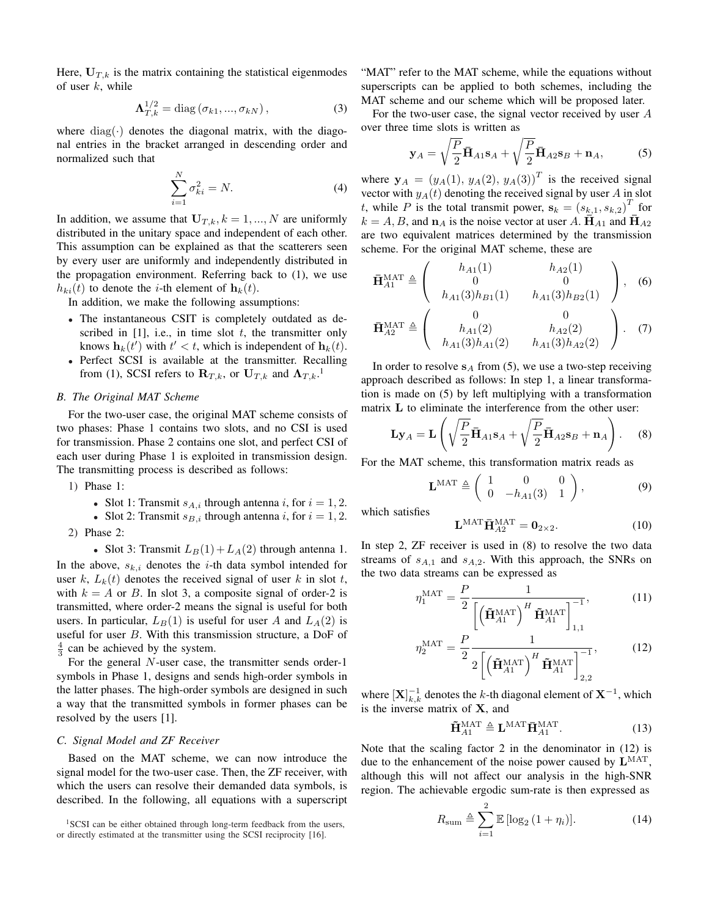Here,  $U_{T,k}$  is the matrix containing the statistical eigenmodes of user  $k$ , while

$$
\mathbf{\Lambda}_{T,k}^{1/2} = \text{diag}\left(\sigma_{k1}, ..., \sigma_{kN}\right),\tag{3}
$$

where  $diag(\cdot)$  denotes the diagonal matrix, with the diagonal entries in the bracket arranged in descending order and normalized such that

$$
\sum_{i=1}^{N} \sigma_{ki}^2 = N.
$$
\n(4)

In addition, we assume that  $U_{T,k}, k = 1, ..., N$  are uniformly distributed in the unitary space and independent of each other. This assumption can be explained as that the scatterers seen by every user are uniformly and independently distributed in the propagation environment. Referring back to (1), we use  $h_{ki}(t)$  to denote the *i*-th element of  $\mathbf{h}_k(t)$ .

In addition, we make the following assumptions:

- The instantaneous CSIT is completely outdated as described in  $[1]$ , i.e., in time slot t, the transmitter only knows  $\mathbf{h}_k(t')$  with  $t' < t$ , which is independent of  $\mathbf{h}_k(t)$ .<br>Perfect SCSI is available at the transmitter Recalling
- Perfect SCSI is available at the transmitter. Recalling from (1), SCSI refers to  $\mathbf{R}_{T,k}$ , or  $\mathbf{U}_{T,k}$  and  $\mathbf{\Lambda}_{T,k}$ .<sup>1</sup>

#### *B. The Original MAT Scheme*

For the two-user case, the original MAT scheme consists of two phases: Phase 1 contains two slots, and no CSI is used for transmission. Phase 2 contains one slot, and perfect CSI of each user during Phase 1 is exploited in transmission design. The transmitting process is described as follows:

1) Phase 1:

- Slot 1: Transmit  $s_{A,i}$  through antenna i, for  $i = 1, 2$ .
- Slot 2: Transmit  $s_{B,i}$  through antenna i, for  $i = 1, 2$ .

# 2) Phase 2:

• Slot 3: Transmit  $L_B(1) + L_A(2)$  through antenna 1. In the above,  $s_{k,i}$  denotes the *i*-th data symbol intended for user k,  $L_k(t)$  denotes the received signal of user k in slot t, with  $k = A$  or B. In slot 3, a composite signal of order-2 is transmitted, where order-2 means the signal is useful for both users. In particular,  $L_B(1)$  is useful for user A and  $L_A(2)$  is useful for user  $B$ . With this transmission structure, a DoF of  $\frac{4}{3}$  can be achieved by the system.

For the general N-user case, the transmitter sends order-1 symbols in Phase 1, designs and sends high-order symbols in the latter phases. The high-order symbols are designed in such a way that the transmitted symbols in former phases can be resolved by the users [1].

# *C. Signal Model and ZF Receiver*

Based on the MAT scheme, we can now introduce the signal model for the two-user case. Then, the ZF receiver, with which the users can resolve their demanded data symbols, is described. In the following, all equations with a superscript

<sup>1</sup>SCSI can be either obtained through long-term feedback from the users, or directly estimated at the transmitter using the SCSI reciprocity [16].

"MAT" refer to the MAT scheme, while the equations without superscripts can be applied to both schemes, including the MAT scheme and our scheme which will be proposed later.

For the two-user case, the signal vector received by user A over three time slots is written as

$$
\mathbf{y}_A = \sqrt{\frac{P}{2}} \mathbf{\bar{H}}_{A1} \mathbf{s}_A + \sqrt{\frac{P}{2}} \mathbf{\bar{H}}_{A2} \mathbf{s}_B + \mathbf{n}_A, \tag{5}
$$

where  $y_A = (y_A(1), y_A(2), y_A(3))^T$  is the received signal vector with  $y_A(t)$  denoting the received signal by user A in slot t, while P is the total transmit power,  $\mathbf{s}_k = (s_{k,1}, s_{k,2})^T$  for  $k = A$  B and  $\mathbf{n}_k$ , is the poise vector at user  $A$   $\mathbf{\bar{H}}_k$ , and  $\mathbf{\bar{H}}_k$  $k = A, B$ , and  $\mathbf{n}_A$  is the noise vector at user A.  $\mathbf{H}_{A1}$  and  $\mathbf{H}_{A2}$ are two equivalent matrices determined by the transmission scheme. For the original MAT scheme, these are

$$
\bar{\mathbf{H}}_{A1}^{\text{MAT}} \triangleq \begin{pmatrix} h_{A1}(1) & h_{A2}(1) \\ 0 & 0 \\ h_{A1}(3)h_{B1}(1) & h_{A1}(3)h_{B2}(1) \end{pmatrix}, \quad (6)
$$
\n
$$
\bar{\mathbf{H}}_{A2}^{\text{MAT}} \triangleq \begin{pmatrix} 0 & 0 \\ h_{A1}(2) & h_{A2}(2) \\ h_{A1}(3)h_{A1}(2) & h_{A1}(3)h_{A2}(2) \end{pmatrix}.
$$
 (7)

In order to resolve  $s_A$  from (5), we use a two-step receiving approach described as follows: In step 1, a linear transformation is made on (5) by left multiplying with a transformation matrix **L** to eliminate the interference from the other user:

$$
\mathbf{L} \mathbf{y}_A = \mathbf{L} \left( \sqrt{\frac{P}{2}} \bar{\mathbf{H}}_{A1} \mathbf{s}_A + \sqrt{\frac{P}{2}} \bar{\mathbf{H}}_{A2} \mathbf{s}_B + \mathbf{n}_A \right). \tag{8}
$$

For the MAT scheme, this transformation matrix reads as

$$
\mathbf{L}^{\text{MAT}} \triangleq \left( \begin{array}{cc} 1 & 0 & 0 \\ 0 & -h_{A1}(3) & 1 \end{array} \right), \tag{9}
$$

which satisfies

$$
\mathbf{L}^{\text{MAT}} \bar{\mathbf{H}}_{A2}^{\text{MAT}} = \mathbf{0}_{2 \times 2}.
$$
 (10)

In step 2, ZF receiver is used in (8) to resolve the two data streams of  $s_{A,1}$  and  $s_{A,2}$ . With this approach, the SNRs on the two data streams can be expressed as

$$
\eta_1^{\text{MAT}} = \frac{P}{2} \frac{1}{\left[ \left( \tilde{\mathbf{H}}_{A1}^{\text{MAT}} \right)^H \tilde{\mathbf{H}}_{A1}^{\text{MAT}} \right]_{1.1}^{-1}},\tag{11}
$$

$$
\eta_2^{\text{MAT}} = \frac{P}{2} \frac{1}{2 \left[ \left( \tilde{\mathbf{H}}_{A1}^{\text{MAT}} \right)^H \tilde{\mathbf{H}}_{A1}^{\text{MAT}} \right]_{2,2}^{-1}},\tag{12}
$$

where  $[X]_{k,k}^{-1}$  denotes the k-th diagonal element of  $X^{-1}$ , which is the inverse matrix of **X** and is the inverse matrix of **X**, and

$$
\tilde{\mathbf{H}}_{A1}^{\text{MAT}} \triangleq \mathbf{L}^{\text{MAT}} \bar{\mathbf{H}}_{A1}^{\text{MAT}}.
$$
 (13)

Note that the scaling factor 2 in the denominator in (12) is due to the enhancement of the noise power caused by **L**MAT, although this will not affect our analysis in the high-SNR region. The achievable ergodic sum-rate is then expressed as

$$
R_{\text{sum}} \triangleq \sum_{i=1}^{2} \mathbb{E} \left[ \log_2 \left( 1 + \eta_i \right) \right]. \tag{14}
$$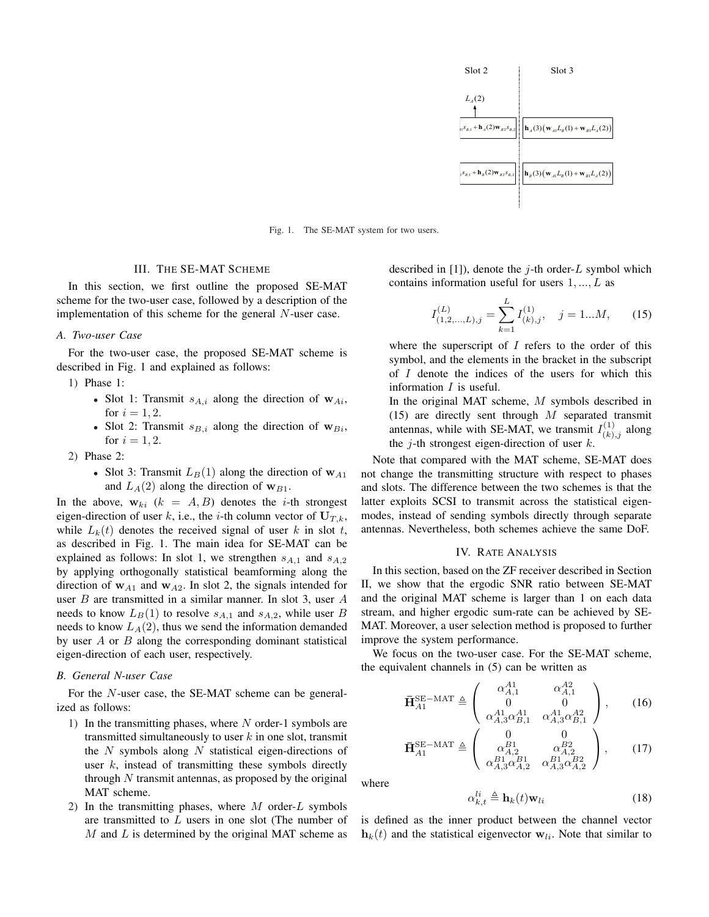

Fig. 1. The SE-MAT system for two users.

# III. THE SE-MAT SCHEME

In this section, we first outline the proposed SE-MAT scheme for the two-user case, followed by a description of the implementation of this scheme for the general N-user case.

#### *A. Two-user Case*

For the two-user case, the proposed SE-MAT scheme is described in Fig. 1 and explained as follows:

1) Phase 1:

- Slot 1: Transmit  $s_{A,i}$  along the direction of  $w_{Ai}$ , for  $i = 1, 2$ .
- Slot 2: Transmit  $s_{B,i}$  along the direction of  $w_{Bi}$ , for  $i = 1, 2$ .
- 2) Phase 2:
	- Slot 3: Transmit  $L_B(1)$  along the direction of  $w_{A1}$ and  $L_A(2)$  along the direction of  $w_{B1}$ .

In the above,  $w_{ki}$  ( $k = A, B$ ) denotes the *i*-th strongest eigen-direction of user k, i.e., the *i*-th column vector of  $U_{T,k}$ , while  $L_k(t)$  denotes the received signal of user k in slot t, as described in Fig. 1. The main idea for SE-MAT can be explained as follows: In slot 1, we strengthen  $s_{A,1}$  and  $s_{A,2}$ by applying orthogonally statistical beamforming along the direction of  $w_{A1}$  and  $w_{A2}$ . In slot 2, the signals intended for user  $B$  are transmitted in a similar manner. In slot 3, user  $A$ needs to know  $L_B(1)$  to resolve  $s_{A,1}$  and  $s_{A,2}$ , while user B needs to know  $L<sub>A</sub>(2)$ , thus we send the information demanded by user  $A$  or  $B$  along the corresponding dominant statistical eigen-direction of each user, respectively.

# *B. General N-user Case*

For the N-user case, the SE-MAT scheme can be generalized as follows:

- 1) In the transmitting phases, where  $N$  order-1 symbols are transmitted simultaneously to user  $k$  in one slot, transmit the  $N$  symbols along  $N$  statistical eigen-directions of user  $k$ , instead of transmitting these symbols directly through N transmit antennas, as proposed by the original MAT scheme.
- 2) In the transmitting phases, where  $M$  order- $L$  symbols are transmitted to  $L$  users in one slot (The number of  $M$  and  $L$  is determined by the original MAT scheme as

described in [1]), denote the  $j$ -th order-L symbol which contains information useful for users  $1, \ldots, L$  as

$$
I_{(1,2,...,L),j}^{(L)} = \sum_{k=1}^{L} I_{(k),j}^{(1)}, \quad j = 1...M, \qquad (15)
$$

where the superscript of  $I$  refers to the order of this symbol, and the elements in the bracket in the subscript of I denote the indices of the users for which this information  $I$  is useful.

In the original MAT scheme,  $M$  symbols described in (15) are directly sent through  $M$  separated transmit (15) are directly sent through M separated transmit<br>approach with SE MAT we transmit  $I^{(1)}$  along antennas, while with SE-MAT, we transmit  $I_{(k),j}^{(1)}$  along<br>the *i*-th strongest eigen-direction of user *k* the *j*-th strongest eigen-direction of user  $k$ .

Note that compared with the MAT scheme, SE-MAT does not change the transmitting structure with respect to phases and slots. The difference between the two schemes is that the latter exploits SCSI to transmit across the statistical eigenmodes, instead of sending symbols directly through separate antennas. Nevertheless, both schemes achieve the same DoF.

# IV. RATE ANALYSIS

In this section, based on the ZF receiver described in Section II, we show that the ergodic SNR ratio between SE-MAT and the original MAT scheme is larger than 1 on each data stream, and higher ergodic sum-rate can be achieved by SE-MAT. Moreover, a user selection method is proposed to further improve the system performance.

We focus on the two-user case. For the SE-MAT scheme, the equivalent channels in (5) can be written as

$$
\bar{\mathbf{H}}_{A1}^{\text{SE-MAT}} \triangleq \begin{pmatrix} \alpha_{A,1}^{A1} & \alpha_{A,1}^{A2} \\ 0 & 0 \\ \alpha_{A,3}^{A1} \alpha_{B,1}^{A1} & \alpha_{A,3}^{A1} \alpha_{B,1}^{A2} \end{pmatrix}, \qquad (16)
$$

$$
\bar{\mathbf{H}}_{A1}^{\text{SE-MAT}} \triangleq \begin{pmatrix} 0 & 0 \\ \alpha_{A,2}^{B1} & \alpha_{A,2}^{B2} \\ \alpha_{A,3}^{B1} \alpha_{A,2}^{B1} & \alpha_{A,3}^{B1} \alpha_{A,2}^{B2} \end{pmatrix}, \qquad (17)
$$

where

$$
\alpha_{k,t}^{li} \triangleq \mathbf{h}_k(t)\mathbf{w}_{li} \tag{18}
$$

is defined as the inner product between the channel vector  $\mathbf{h}_k(t)$  and the statistical eigenvector  $\mathbf{w}_{li}$ . Note that similar to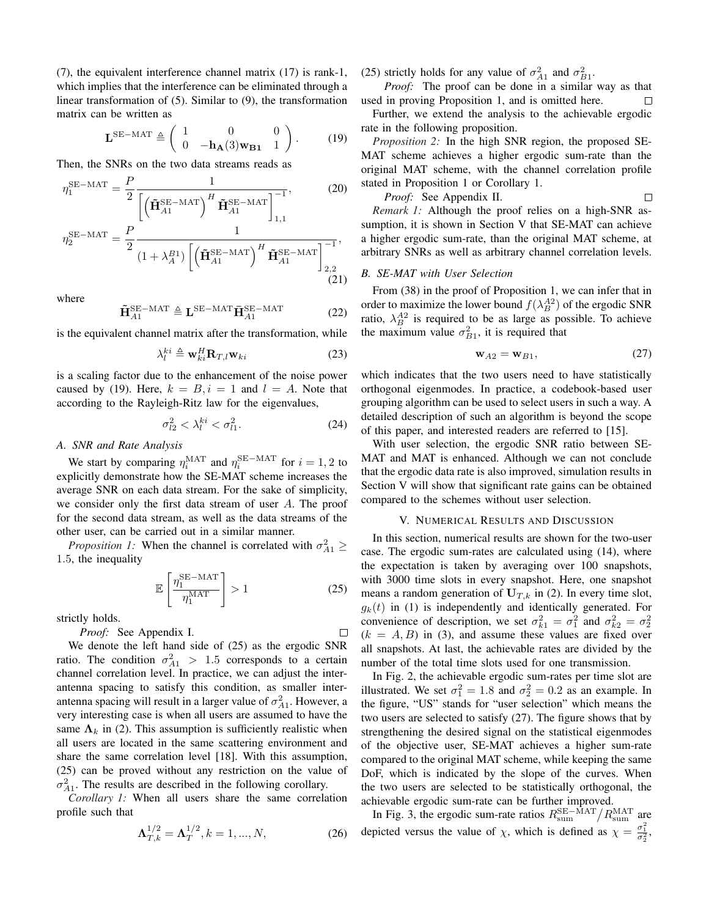(7), the equivalent interference channel matrix (17) is rank-1, which implies that the interference can be eliminated through a linear transformation of (5). Similar to (9), the transformation matrix can be written as

$$
\mathbf{L}^{\text{SE-MAT}} \triangleq \begin{pmatrix} 1 & 0 & 0 \\ 0 & -\mathbf{h}_{\mathbf{A}}(3)\mathbf{w}_{\mathbf{B1}} & 1 \end{pmatrix} . \tag{19}
$$

Then, the SNRs on the two data streams reads as

$$
\eta_1^{\text{SE-MAT}} = \frac{P}{2} \frac{1}{\left[ \left( \tilde{\mathbf{H}}_{A1}^{\text{SE-MAT}} \right)^H \tilde{\mathbf{H}}_{A1}^{\text{SE-MAT}} \right]_{1,1}^{-1}},\n\eta_2^{\text{SE-MAT}} = \frac{P}{2} \frac{1}{\left( 1 + \lambda_A^{\text{B1}} \right) \left[ \left( \tilde{\mathbf{H}}_{A1}^{\text{SE-MAT}} \right)^H \tilde{\mathbf{H}}_{A1}^{\text{SE-MAT}} \right]_{2,2}^{-1}},
$$
\n(20)

where

$$
\tilde{\mathbf{H}}_{A1}^{\text{SE-MAT}} \triangleq \mathbf{L}^{\text{SE-MAT}} \bar{\mathbf{H}}_{A1}^{\text{SE-MAT}} \tag{22}
$$

is the equivalent channel matrix after the transformation, while

$$
\lambda_l^{ki} \triangleq \mathbf{w}_{ki}^H \mathbf{R}_{T,l} \mathbf{w}_{ki}
$$
 (23)

2,2 (21)

 $\Box$ 

is a scaling factor due to the enhancement of the noise power caused by (19). Here,  $k = B$ ,  $i = 1$  and  $l = A$ . Note that according to the Rayleigh-Ritz law for the eigenvalues,

$$
\sigma_{l2}^2 < \lambda_l^{ki} < \sigma_{l1}^2. \tag{24}
$$

#### *A. SNR and Rate Analysis*

We start by comparing  $\eta_i^{\text{MAT}}$  and  $\eta_i^{\text{SE-MAT}}$  for  $i = 1, 2$  to plicitly demonstrate how the SE-MAT scheme increases the explicitly demonstrate how the SE-MAT scheme increases the average SNR on each data stream. For the sake of simplicity, we consider only the first data stream of user A. The proof for the second data stream, as well as the data streams of the other user, can be carried out in a similar manner.

*Proposition 1:* When the channel is correlated with  $\sigma_{A1}^2 \ge \frac{1}{2}$ <sup>1</sup>.5, the inequality

$$
\mathbb{E}\left[\frac{\eta_1^{\text{SE-MAT}}}{\eta_1^{\text{MAT}}}\right] > 1\tag{25}
$$

strictly holds.

*Proof:* See Appendix I.

We denote the left hand side of (25) as the ergodic SNR ratio. The condition  $\sigma_{A_1}^2 > 1.5$  corresponds to a certain channel correlation level. In practice, we can adjust the interchannel correlation level. In practice, we can adjust the interantenna spacing to satisfy this condition, as smaller interantenna spacing will result in a larger value of  $\sigma_{A_1}^2$ . However, a<br>very interesting case is when all users are assumed to have the very interesting case is when all users are assumed to have the same  $\Lambda_k$  in (2). This assumption is sufficiently realistic when all users are located in the same scattering environment and share the same correlation level [18]. With this assumption, (25) can be proved without any restriction on the value of  $\sigma_{A_1}^2$ . The results are described in the following corollary.<br>Corollary 1: When all users share the same correlation

*Corollary 1:* When all users share the same correlation profile such that

$$
\Lambda_{T,k}^{1/2} = \Lambda_T^{1/2}, k = 1, ..., N,
$$
 (26)

(25) strictly holds for any value of  $\sigma_{A1}^2$  and  $\sigma_{B1}^2$ .<br>Proof: The proof can be done in a similar

*Proof:* The proof can be done in a similar way as that used in proving Proposition 1, and is omitted here. П

Further, we extend the analysis to the achievable ergodic rate in the following proposition.

*Proposition 2:* In the high SNR region, the proposed SE-MAT scheme achieves a higher ergodic sum-rate than the original MAT scheme, with the channel correlation profile stated in Proposition 1 or Corollary 1.

*Proof:* See Appendix II.  $\Box$ 

*Remark 1:* Although the proof relies on a high-SNR assumption, it is shown in Section V that SE-MAT can achieve a higher ergodic sum-rate, than the original MAT scheme, at arbitrary SNRs as well as arbitrary channel correlation levels.

# *B. SE-MAT with User Selection*

From (38) in the proof of Proposition 1, we can infer that in order to maximize the lower bound  $f(\lambda_B^{A2})$  of the ergodic SNR<br>ratio  $\lambda^{A2}$  is required to be as large as possible. To achieve ratio,  $\lambda_B^{A2}$  is required to be as large as possible. To achieve<br>the maximum value  $\sigma^2$  it is required that the maximum value  $\sigma_{B_1}^2$ , it is required that

$$
\mathbf{w}_{A2} = \mathbf{w}_{B1},\tag{27}
$$

which indicates that the two users need to have statistically orthogonal eigenmodes. In practice, a codebook-based user grouping algorithm can be used to select users in such a way. A detailed description of such an algorithm is beyond the scope of this paper, and interested readers are referred to [15].

With user selection, the ergodic SNR ratio between SE-MAT and MAT is enhanced. Although we can not conclude that the ergodic data rate is also improved, simulation results in Section V will show that significant rate gains can be obtained compared to the schemes without user selection.

#### V. NUMERICAL RESULTS AND DISCUSSION

In this section, numerical results are shown for the two-user case. The ergodic sum-rates are calculated using (14), where the expectation is taken by averaging over 100 snapshots, with 3000 time slots in every snapshot. Here, one snapshot means a random generation of  $U_{T,k}$  in (2). In every time slot,  $g_k(t)$  in (1) is independently and identically generated. For convenience of description, we set  $\sigma_{k1}^2 = \sigma_1^2$  and  $\sigma_{k2}^2 = \sigma_2^2$ <br>(k = 4 B) in (3) and assume these values are fixed over  $(k = A, B)$  in (3), and assume these values are fixed over all snapshots. At last, the achievable rates are divided by the number of the total time slots used for one transmission.

In Fig. 2, the achievable ergodic sum-rates per time slot are illustrated. We set  $\sigma_1^2 = 1.8$  and  $\sigma_2^2 = 0.2$  as an example. In the figure "US" stands for "user selection" which means the the figure, "US" stands for "user selection" which means the two users are selected to satisfy (27). The figure shows that by strengthening the desired signal on the statistical eigenmodes of the objective user, SE-MAT achieves a higher sum-rate compared to the original MAT scheme, while keeping the same DoF, which is indicated by the slope of the curves. When the two users are selected to be statistically orthogonal, the achievable ergodic sum-rate can be further improved.

In Fig. 3, the ergodic sum-rate ratios  $R_{\text{sum}}^{\text{SE}-\text{MAT}}/R_{\text{sum}}^{\text{MAT}}$  are depicted versus the value of  $\chi$ , which is defined as  $\chi = \frac{\sigma_1^2}{\sigma_2^2}$ ,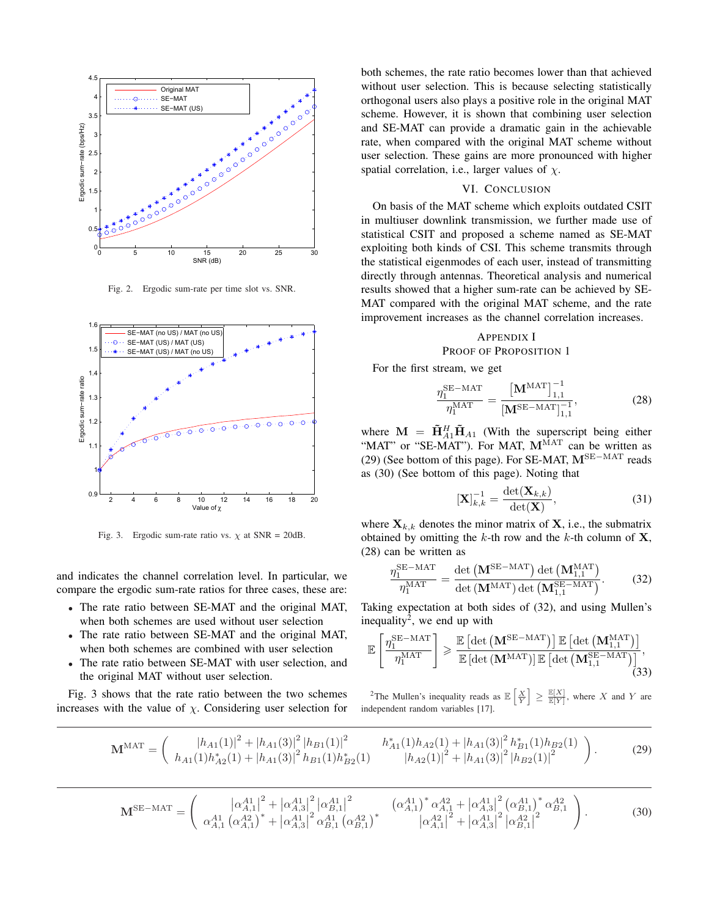

Fig. 2. Ergodic sum-rate per time slot vs. SNR.



Fig. 3. Ergodic sum-rate ratio vs.  $\chi$  at SNR = 20dB.

and indicates the channel correlation level. In particular, we compare the ergodic sum-rate ratios for three cases, these are:

- The rate ratio between SE-MAT and the original MAT, when both schemes are used without user selection
- The rate ratio between SE-MAT and the original MAT, when both schemes are combined with user selection
- The rate ratio between SE-MAT with user selection, and the original MAT without user selection.

Fig. 3 shows that the rate ratio between the two schemes increases with the value of  $\chi$ . Considering user selection for both schemes, the rate ratio becomes lower than that achieved without user selection. This is because selecting statistically orthogonal users also plays a positive role in the original MAT scheme. However, it is shown that combining user selection and SE-MAT can provide a dramatic gain in the achievable rate, when compared with the original MAT scheme without user selection. These gains are more pronounced with higher spatial correlation, i.e., larger values of  $\chi$ .

#### VI. CONCLUSION

On basis of the MAT scheme which exploits outdated CSIT in multiuser downlink transmission, we further made use of statistical CSIT and proposed a scheme named as SE-MAT exploiting both kinds of CSI. This scheme transmits through the statistical eigenmodes of each user, instead of transmitting directly through antennas. Theoretical analysis and numerical results showed that a higher sum-rate can be achieved by SE-MAT compared with the original MAT scheme, and the rate improvement increases as the channel correlation increases.

# APPENDIX I PROOF OF PROPOSITION 1

For the first stream, we get

$$
\frac{\eta_1^{\text{SE-MAT}}}{\eta_1^{\text{MAT}}} = \frac{\left[\mathbf{M}^{\text{MAT}}\right]_{1,1}^{-1}}{\left[\mathbf{M}^{\text{SE-MAT}}\right]_{1,1}^{-1}},\tag{28}
$$

where  $\mathbf{M} = \mathbf{\tilde{H}}_{A1}^H \mathbf{\tilde{H}}_{A1}$  (With the superscript being either "MAT" or "SE-MAT"). For MAT M<sup>MAT</sup> can be written as "MAT" or "SE-MAT"). For MAT, M<sup>MAT</sup> can be written as<br>(29) (See bottom of this page). For SE-MAT M<sup>SE-MAT</sup> reads (29) (See bottom of this page). For SE-MAT, **M**SE−MAT reads as (30) (See bottom of this page). Noting that

$$
\left[\mathbf{X}\right]_{k,k}^{-1} = \frac{\det(\mathbf{X}_{k,k})}{\det(\mathbf{X})},\tag{31}
$$

where  $X_{k,k}$  denotes the minor matrix of  $X$ , i.e., the submatrix obtained by omitting the  $k$ -th row and the  $k$ -th column of  $X$ , (28) can be written as

$$
\frac{\eta_1^{\text{SE-MAT}}}{\eta_1^{\text{MAT}}} = \frac{\det\left(\mathbf{M}^{\text{SE-MAT}}\right) \det\left(\mathbf{M}_{1,1}^{\text{MAT}}\right)}{\det\left(\mathbf{M}^{\text{MAT}}\right) \det\left(\mathbf{M}_{1,1}^{\text{SE-MAT}}\right)}.
$$
(32)

Taking expectation at both sides of (32), and using Mullen's inequality<sup>2</sup>, we end up with

$$
\mathbb{E}\left[\frac{\eta_1^{\text{SE-MAT}}}{\eta_1^{\text{MAT}}}\right] \geqslant \frac{\mathbb{E}\left[\det\left(\mathbf{M}^{\text{SE-MAT}}\right)\right] \mathbb{E}\left[\det\left(\mathbf{M}_{1,1}^{\text{MAT}}\right)\right]}{\mathbb{E}\left[\det\left(\mathbf{M}^{\text{MAT}}\right)\right] \mathbb{E}\left[\det\left(\mathbf{M}_{1,1}^{\text{SE-MAT}}\right)\right]},\tag{33}
$$

<sup>2</sup>The Mullen's inequality reads as  $\mathbb{E}\left[\frac{X}{Y}\right] \ge \frac{\mathbb{E}[X]}{\mathbb{E}[Y]}$ , where X and Y are independent random variables [17].

$$
\mathbf{M}^{\text{MAT}} = \begin{pmatrix} |h_{A1}(1)|^2 + |h_{A1}(3)|^2 |h_{B1}(1)|^2 & h_{A1}^*(1)h_{A2}(1) + |h_{A1}(3)|^2 h_{B1}^*(1)h_{B2}(1) \\ h_{A1}(1)h_{A2}^*(1) + |h_{A1}(3)|^2 h_{B1}(1)h_{B2}^*(1) & |h_{A2}(1)|^2 + |h_{A1}(3)|^2 |h_{B2}(1)|^2 \end{pmatrix}.
$$
 (29)

$$
\mathbf{M}^{\text{SE-MAT}} = \begin{pmatrix} |\alpha_{A,1}^{A1}|^2 + |\alpha_{A,3}^{A1}|^2 |\alpha_{B,1}^{A1}|^2 & (\alpha_{A,1}^{A1})^* \alpha_{A,1}^{A2} + |\alpha_{A,3}^{A1}|^2 (\alpha_{B,1}^{A1})^* \alpha_{B,1}^{A2} \\ \alpha_{A,1}^{A1} (\alpha_{A,1}^{A2})^* + |\alpha_{A,3}^{A1}|^2 \alpha_{B,1}^{A1} (\alpha_{B,1}^{A2})^* & |\alpha_{A,1}^{A2}|^2 + |\alpha_{A,3}^{A1}|^2 |\alpha_{B,1}^{A2}|^2 \end{pmatrix} .
$$
 (30)